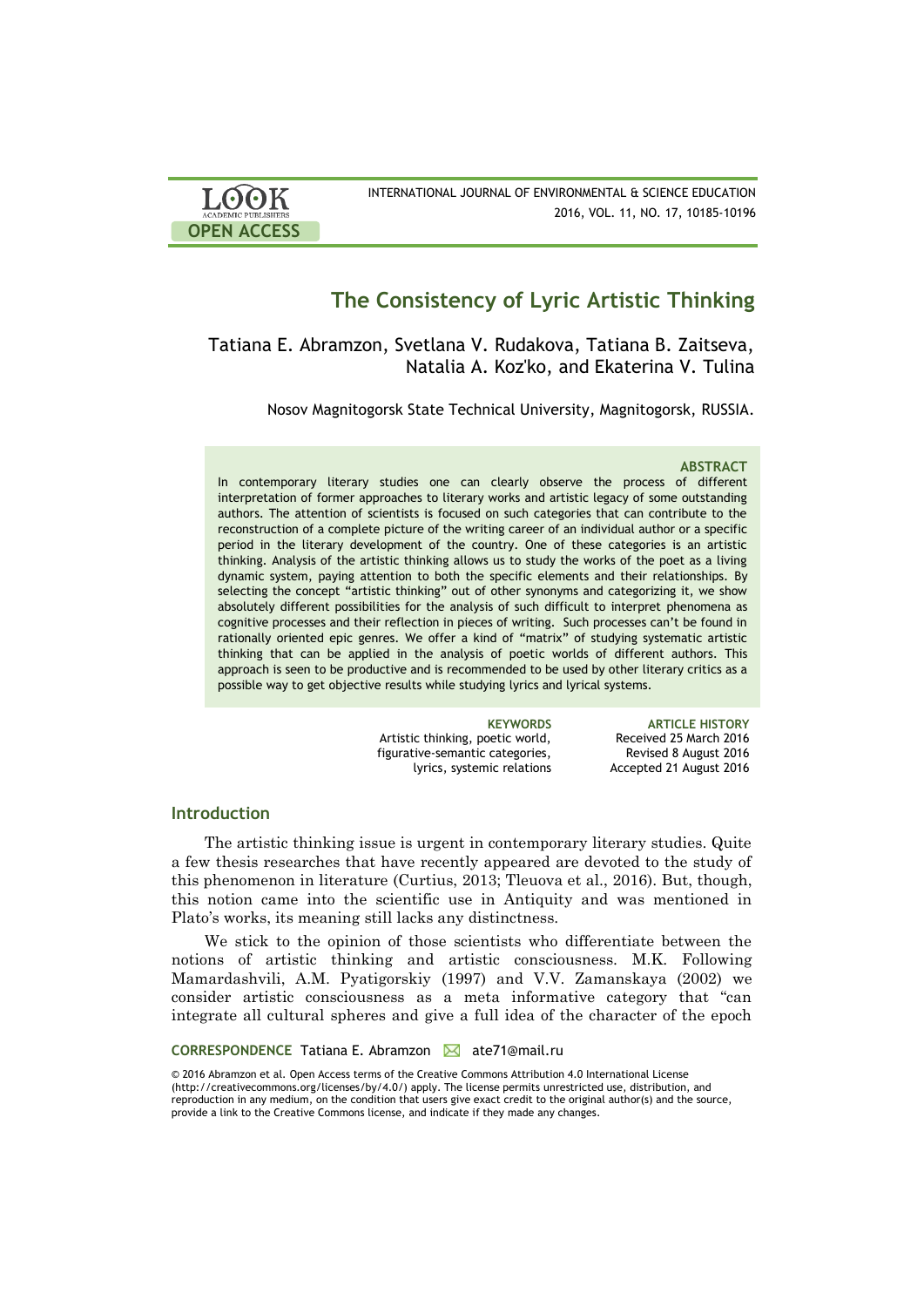| <b>LOOK</b>                | INTERNATIONAL JOURNAL OF ENVIRONMENTAL & SCIENCE EDUCATION |
|----------------------------|------------------------------------------------------------|
| <b>ACADEMIC PUBLISHERS</b> | 2016, VOL. 11, NO. 17, 10185-10196                         |
| <b>OPEN ACCESS</b>         |                                                            |

# **The Consistency of Lyric Artistic Thinking**

Tatiana E. Abramzon, Svetlana V. Rudakova, Tatiana B. Zaitseva, Natalia A. Koz'ko, and Ekaterina V. Tulina

Nosov Magnitogorsk State Technical University, Magnitogorsk, RUSSIA.

# **ABSTRACT**

In contemporary literary studies one can clearly observe the process of different interpretation of former approaches to literary works and artistic legacy of some outstanding authors. The attention of scientists is focused on such categories that can contribute to the reconstruction of a complete picture of the writing career of an individual author or a specific period in the literary development of the country. One of these categories is an artistic thinking. Analysis of the artistic thinking allows us to study the works of the poet as a living dynamic system, paying attention to both the specific elements and their relationships. By selecting the concept "artistic thinking" out of other synonyms and categorizing it, we show absolutely different possibilities for the analysis of such difficult to interpret phenomena as cognitive processes and their reflection in pieces of writing. Such processes can't be found in rationally oriented epic genres. We offer a kind of "matrix" of studying systematic artistic thinking that can be applied in the analysis of poetic worlds of different authors. This approach is seen to be productive and is recommended to be used by other literary critics as a possible way to get objective results while studying lyrics and lyrical systems.

> Artistic thinking, poetic world, figurative-semantic categories, lyrics, systemic relations

**KEYWORDS ARTICLE HISTORY** Received 25 March 2016 Revised 8 August 2016 Accepted 21 August 2016

# **Introduction**

The artistic thinking issue is urgent in contemporary literary studies. Quite a few thesis researches that have recently appeared are devoted to the study of this phenomenon in literature (Curtius, 2013; Tleuova et al., 2016). But, though, this notion came into the scientific use in Antiquity and was mentioned in Plato's works, its meaning still lacks any distinctness.

We stick to the opinion of those scientists who differentiate between the notions of artistic thinking and artistic consciousness. M.K. Following Mamardashvili, A.M. Pyatigorskiy (1997) and V.V. Zamanskaya (2002) we consider artistic consciousness as a meta informative category that "can integrate all cultural spheres and give a full idea of the character of the epoch

### **CORRESPONDENCE** Tatiana E. Abramzon M ate71@mail.ru

© 2016 Abramzon et al. Open Access terms of the Creative Commons Attribution 4.0 International License (http://creativecommons.org/licenses/by/4.0/) apply. The license permits unrestricted use, distribution, and reproduction in any medium, on the condition that users give exact credit to the original author(s) and the source, provide a link to the Creative Commons license, and indicate if they made any changes.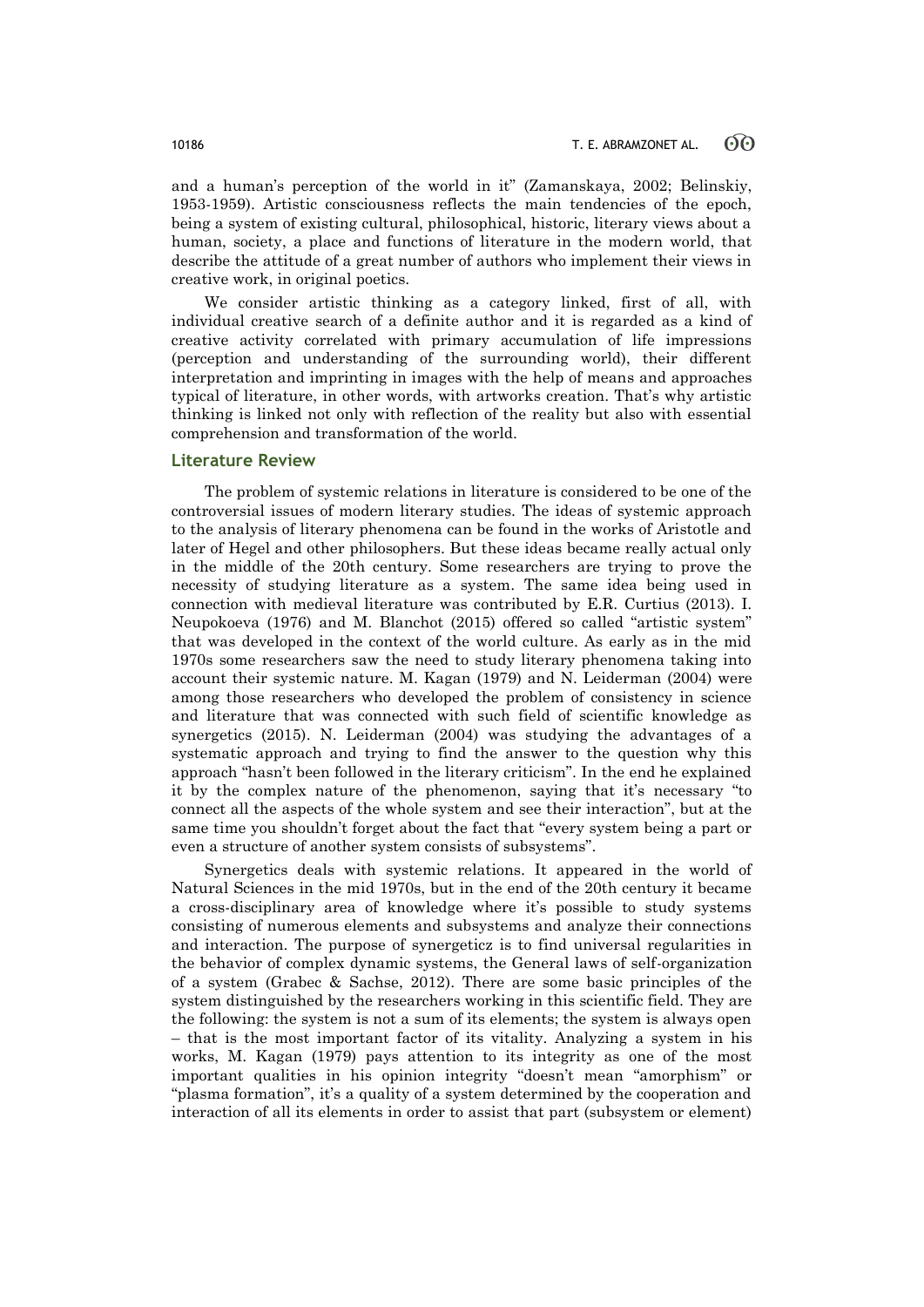and a human's perception of the world in it" (Zamanskaya, 2002; Belinskiy, 1953-1959). Artistic consciousness reflects the main tendencies of the epoch, being a system of existing cultural, philosophical, historic, literary views about a human, society, a place and functions of literature in the modern world, that describe the attitude of a great number of authors who implement their views in creative work, in original poetics.

We consider artistic thinking as a category linked, first of all, with individual creative search of a definite author and it is regarded as a kind of creative activity correlated with primary accumulation of life impressions (perception and understanding of the surrounding world), their different interpretation and imprinting in images with the help of means and approaches typical of literature, in other words, with artworks creation. That's why artistic thinking is linked not only with reflection of the reality but also with essential comprehension and transformation of the world.

### **Literature Review**

The problem of systemic relations in literature is considered to be one of the controversial issues of modern literary studies. The ideas of systemic approach to the analysis of literary phenomena can be found in the works of Aristotle and later of Hegel and other philosophers. But these ideas became really actual only in the middle of the 20th century. Some researchers are trying to prove the necessity of studying literature as a system. The same idea being used in connection with medieval literature was contributed by E.R. Curtius (2013). I. Neupokoeva (1976) and M. Blanchot (2015) offered so called "artistic system" that was developed in the context of the world culture. As early as in the mid 1970s some researchers saw the need to study literary phenomena taking into account their systemic nature. M. Kagan (1979) and N. Leiderman (2004) were among those researchers who developed the problem of consistency in science and literature that was connected with such field of scientific knowledge as synergetics (2015). N. Leiderman (2004) was studying the advantages of a systematic approach and trying to find the answer to the question why this approach "hasn't been followed in the literary criticism". In the end he explained it by the complex nature of the phenomenon, saying that it's necessary "to connect all the aspects of the whole system and see their interaction", but at the same time you shouldn't forget about the fact that "every system being a part or even a structure of another system consists of subsystems".

Synergetics deals with systemic relations. It appeared in the world of Natural Sciences in the mid 1970s, but in the end of the 20th century it became a cross-disciplinary area of knowledge where it's possible to study systems consisting of numerous elements and subsystems and analyze their connections and interaction. The purpose of synergeticz is to find universal regularities in the behavior of complex dynamic systems, the General laws of self-organization of a system (Grabec & Sachse, 2012). There are some basic principles of the system distinguished by the researchers working in this scientific field. They are the following: the system is not a sum of its elements; the system is always open – that is the most important factor of its vitality. Analyzing a system in his works, M. Kagan (1979) pays attention to its integrity as one of the most important qualities in his opinion integrity "doesn't mean "amorphism" or "plasma formation", it's a quality of a system determined by the cooperation and interaction of all its elements in order to assist that part (subsystem or element)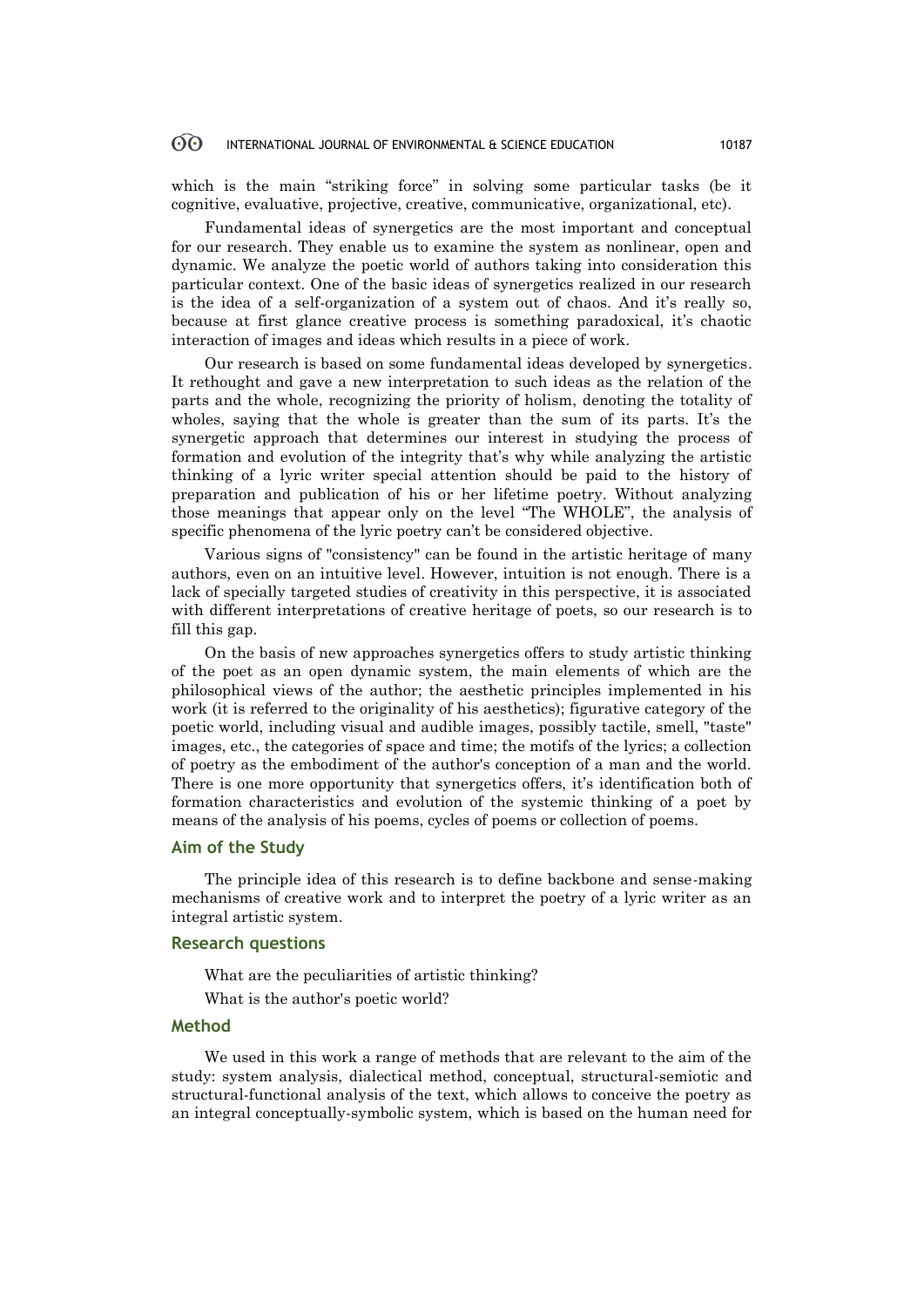#### **ගි** INTERNATIONAL JOURNAL OF ENVIRONMENTAL & SCIENCE EDUCATION 10187

which is the main "striking force" in solving some particular tasks (be it cognitive, evaluative, projective, creative, communicative, organizational, etc).

Fundamental ideas of synergetics are the most important and conceptual for our research. They enable us to examine the system as nonlinear, open and dynamic. We analyze the poetic world of authors taking into consideration this particular context. One of the basic ideas of synergetics realized in our research is the idea of a self-organization of a system out of chaos. And it's really so, because at first glance creative process is something paradoxical, it's chaotic interaction of images and ideas which results in a piece of work.

Our research is based on some fundamental ideas developed by synergetics. It rethought and gave a new interpretation to such ideas as the relation of the parts and the whole, recognizing the priority of holism, denoting the totality of wholes, saying that the whole is greater than the sum of its parts. It's the synergetic approach that determines our interest in studying the process of formation and evolution of the integrity that's why while analyzing the artistic thinking of a lyric writer special attention should be paid to the history of preparation and publication of his or her lifetime poetry. Without analyzing those meanings that appear only on the level "The WHOLE", the analysis of specific phenomena of the lyric poetry can't be considered objective.

Various signs of "consistency" can be found in the artistic heritage of many authors, even on an intuitive level. However, intuition is not enough. There is a lack of specially targeted studies of creativity in this perspective, it is associated with different interpretations of creative heritage of poets, so our research is to fill this gap.

On the basis of new approaches synergetics offers to study artistic thinking of the poet as an open dynamic system, the main elements of which are the philosophical views of the author; the aesthetic principles implemented in his work (it is referred to the originality of his aesthetics); figurative category of the poetic world, including visual and audible images, possibly tactile, smell, "taste" images, etc., the categories of space and time; the motifs of the lyrics; a collection of poetry as the embodiment of the author's conception of a man and the world. There is one more opportunity that synergetics offers, it's identification both of formation characteristics and evolution of the systemic thinking of a poet by means of the analysis of his poems, cycles of poems or collection of poems.

# **Aim of the Study**

The principle idea of this research is to define backbone and sense-making mechanisms of creative work and to interpret the poetry of a lyric writer as an integral artistic system.

### **Research questions**

What are the peculiarities of artistic thinking?

What is the author's poetic world?

# **Method**

We used in this work a range of methods that are relevant to the aim of the study: system analysis, dialectical method, conceptual, structural-semiotic and structural-functional analysis of the text, which allows to conceive the poetry as an integral conceptually-symbolic system, which is based on the human need for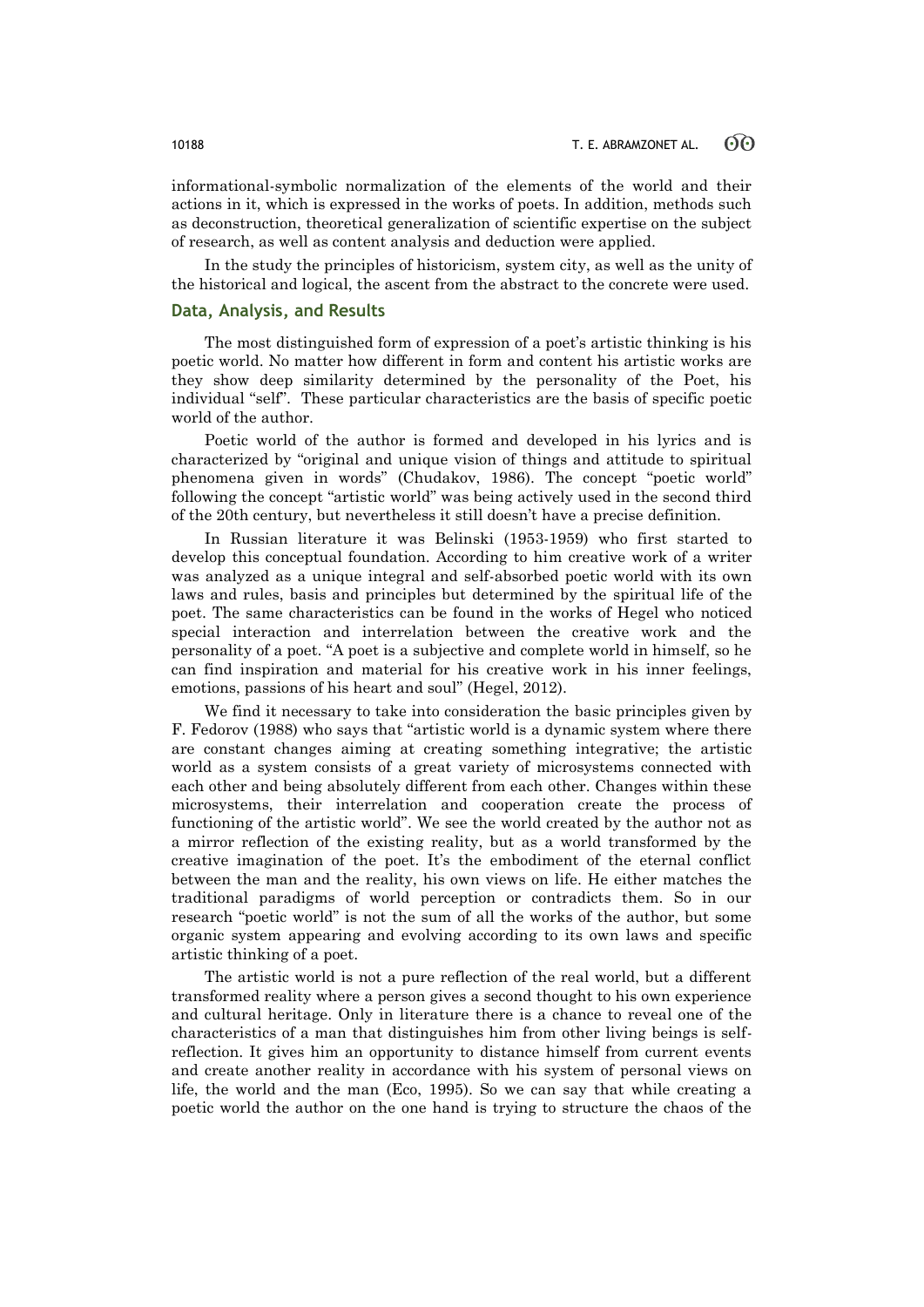informational-symbolic normalization of the elements of the world and their actions in it, which is expressed in the works of poets. In addition, methods such as deconstruction, theoretical generalization of scientific expertise on the subject of research, as well as content analysis and deduction were applied.

In the study the principles of historicism, system city, as well as the unity of the historical and logical, the ascent from the abstract to the concrete were used.

### **Data, Analysis, and Results**

The most distinguished form of expression of a poet's artistic thinking is his poetic world. No matter how different in form and content his artistic works are they show deep similarity determined by the personality of the Poet, his individual "self". These particular characteristics are the basis of specific poetic world of the author.

Poetic world of the author is formed and developed in his lyrics and is characterized by "original and unique vision of things and attitude to spiritual phenomena given in words" (Chudakov, 1986). The concept "poetic world" following the concept "artistic world" was being actively used in the second third of the 20th century, but nevertheless it still doesn't have a precise definition.

In Russian literature it was Belinski (1953-1959) who first started to develop this conceptual foundation. According to him creative work of a writer was analyzed as a unique integral and self-absorbed poetic world with its own laws and rules, basis and principles but determined by the spiritual life of the poet. The same characteristics can be found in the works of Hegel who noticed special interaction and interrelation between the creative work and the personality of a poet. "A poet is a subjective and complete world in himself, so he can find inspiration and material for his creative work in his inner feelings, emotions, passions of his heart and soul" (Hegel, 2012).

We find it necessary to take into consideration the basic principles given by F. Fedorov (1988) who says that "artistic world is a dynamic system where there are constant changes aiming at creating something integrative; the artistic world as a system consists of a great variety of microsystems connected with each other and being absolutely different from each other. Changes within these microsystems, their interrelation and cooperation create the process of functioning of the artistic world". We see the world created by the author not as a mirror reflection of the existing reality, but as a world transformed by the creative imagination of the poet. It's the embodiment of the eternal conflict between the man and the reality, his own views on life. He either matches the traditional paradigms of world perception or contradicts them. So in our research "poetic world" is not the sum of all the works of the author, but some organic system appearing and evolving according to its own laws and specific artistic thinking of a poet.

The artistic world is not a pure reflection of the real world, but a different transformed reality where a person gives a second thought to his own experience and cultural heritage. Only in literature there is a chance to reveal one of the characteristics of a man that distinguishes him from other living beings is selfreflection. It gives him an opportunity to distance himself from current events and create another reality in accordance with his system of personal views on life, the world and the man (Eco, 1995). So we can say that while creating a poetic world the author on the one hand is trying to structure the chaos of the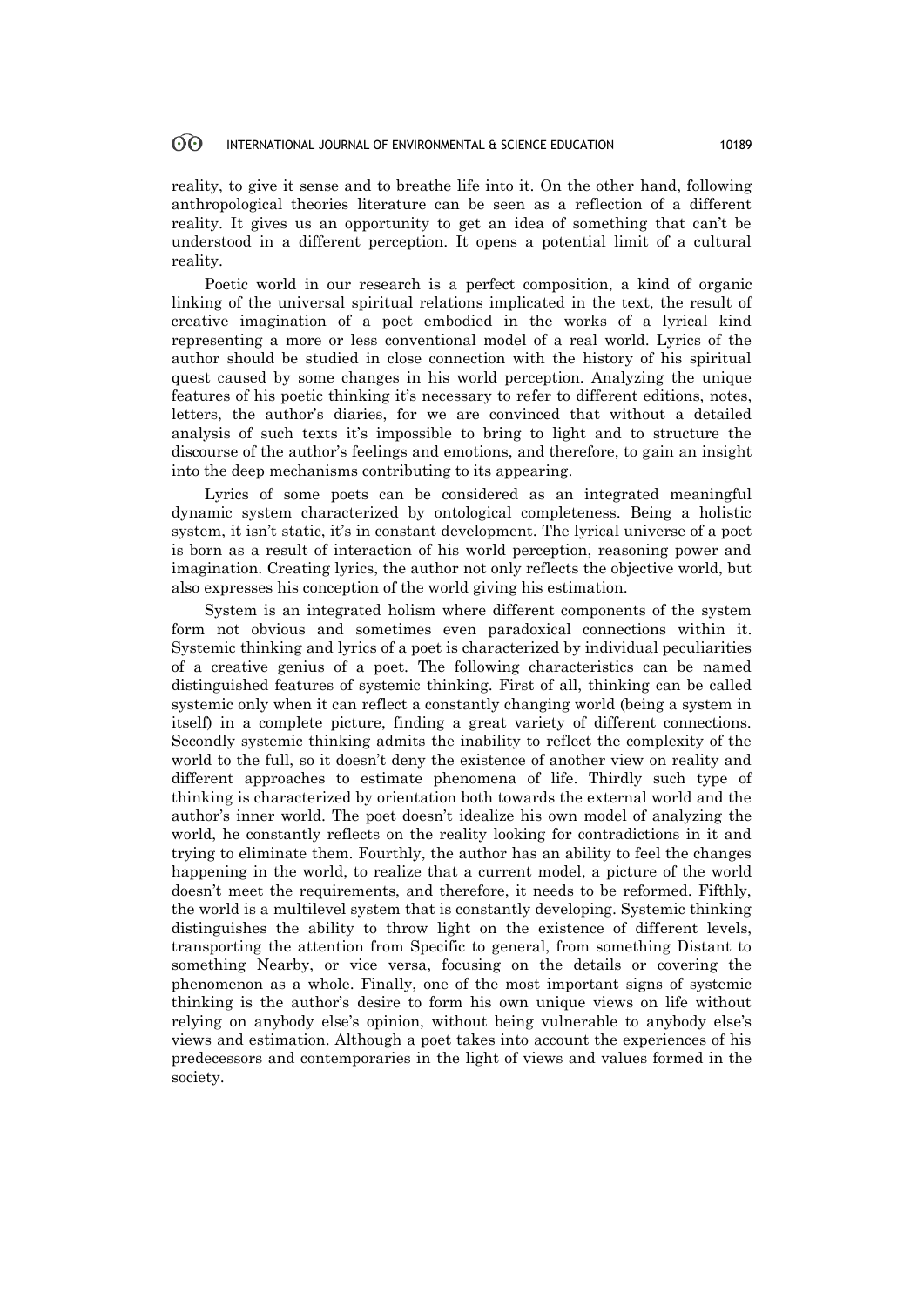#### **ගි** INTERNATIONAL JOURNAL OF ENVIRONMENTAL & SCIENCE EDUCATION 10189

reality, to give it sense and to breathe life into it. On the other hand, following anthropological theories literature can be seen as a reflection of a different reality. It gives us an opportunity to get an idea of something that can't be understood in a different perception. It opens a potential limit of a cultural reality.

Poetic world in our research is a perfect composition, a kind of organic linking of the universal spiritual relations implicated in the text, the result of creative imagination of a poet embodied in the works of a lyrical kind representing a more or less conventional model of a real world. Lyrics of the author should be studied in close connection with the history of his spiritual quest caused by some changes in his world perception. Analyzing the unique features of his poetic thinking it's necessary to refer to different editions, notes, letters, the author's diaries, for we are convinced that without a detailed analysis of such texts it's impossible to bring to light and to structure the discourse of the author's feelings and emotions, and therefore, to gain an insight into the deep mechanisms contributing to its appearing.

Lyrics of some poets can be considered as an integrated meaningful dynamic system characterized by ontological completeness. Being a holistic system, it isn't static, it's in constant development. The lyrical universe of a poet is born as a result of interaction of his world perception, reasoning power and imagination. Creating lyrics, the author not only reflects the objective world, but also expresses his conception of the world giving his estimation.

System is an integrated holism where different components of the system form not obvious and sometimes even paradoxical connections within it. Systemic thinking and lyrics of a poet is characterized by individual peculiarities of a creative genius of a poet. The following characteristics can be named distinguished features of systemic thinking. First of all, thinking can be called systemic only when it can reflect a constantly changing world (being a system in itself) in a complete picture, finding a great variety of different connections. Secondly systemic thinking admits the inability to reflect the complexity of the world to the full, so it doesn't deny the existence of another view on reality and different approaches to estimate phenomena of life. Thirdly such type of thinking is characterized by orientation both towards the external world and the author's inner world. The poet doesn't idealize his own model of analyzing the world, he constantly reflects on the reality looking for contradictions in it and trying to eliminate them. Fourthly, the author has an ability to feel the changes happening in the world, to realize that a current model, a picture of the world doesn't meet the requirements, and therefore, it needs to be reformed. Fifthly, the world is a multilevel system that is constantly developing. Systemic thinking distinguishes the ability to throw light on the existence of different levels, transporting the attention from Specific to general, from something Distant to something Nearby, or vice versa, focusing on the details or covering the phenomenon as a whole. Finally, one of the most important signs of systemic thinking is the author's desire to form his own unique views on life without relying on anybody else's opinion, without being vulnerable to anybody else's views and estimation. Although a poet takes into account the experiences of his predecessors and contemporaries in the light of views and values formed in the society.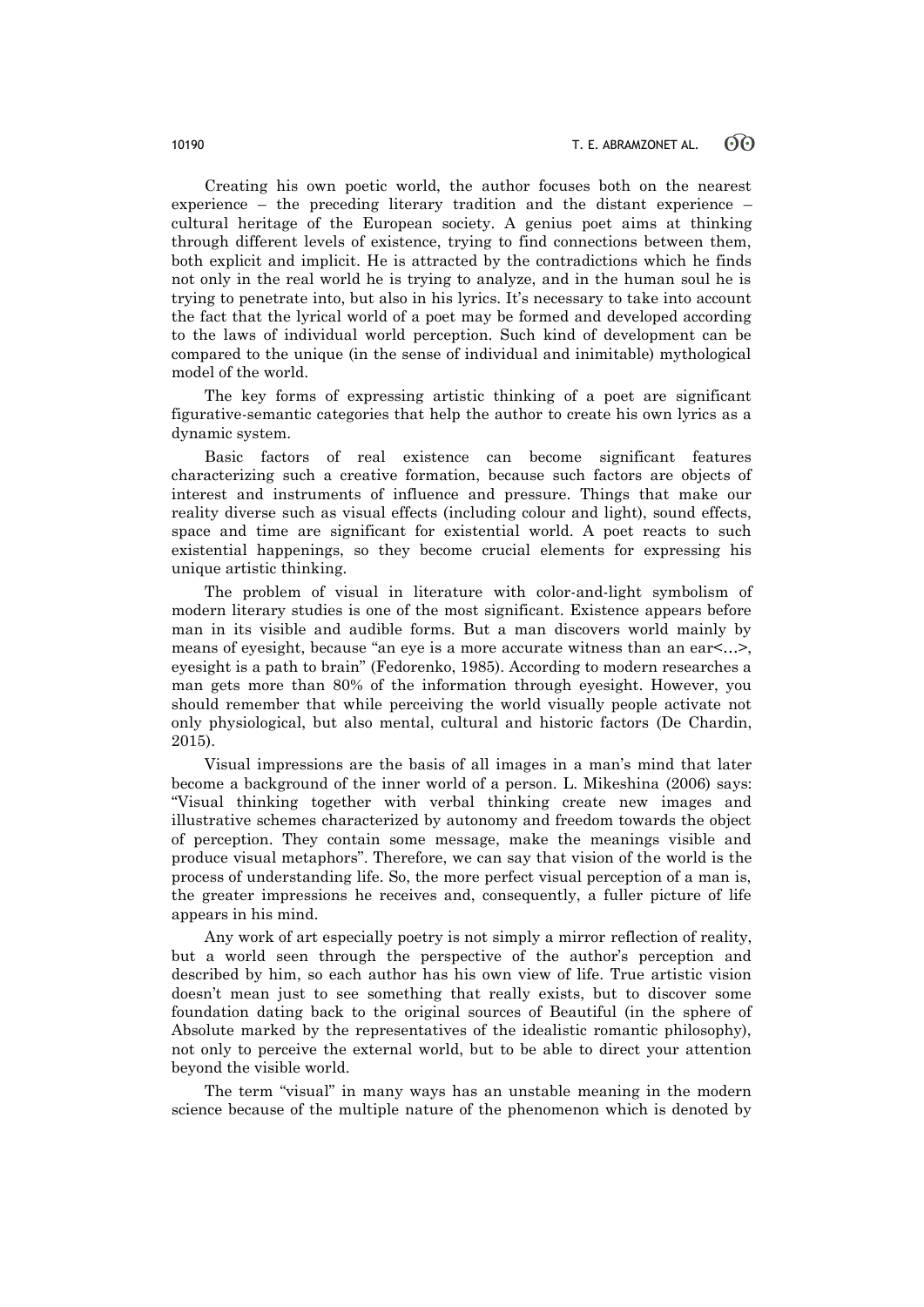Creating his own poetic world, the author focuses both on the nearest experience – the preceding literary tradition and the distant experience – cultural heritage of the European society. A genius poet aims at thinking through different levels of existence, trying to find connections between them, both explicit and implicit. He is attracted by the contradictions which he finds not only in the real world he is trying to analyze, and in the human soul he is trying to penetrate into, but also in his lyrics. It's necessary to take into account the fact that the lyrical world of a poet may be formed and developed according to the laws of individual world perception. Such kind of development can be compared to the unique (in the sense of individual and inimitable) mythological model of the world.

The key forms of expressing artistic thinking of a poet are significant figurative-semantic categories that help the author to create his own lyrics as a dynamic system.

Basic factors of real existence can become significant features characterizing such a creative formation, because such factors are objects of interest and instruments of influence and pressure. Things that make our reality diverse such as visual effects (including colour and light), sound effects, space and time are significant for existential world. A poet reacts to such existential happenings, so they become crucial elements for expressing his unique artistic thinking.

The problem of visual in literature with color-and-light symbolism of modern literary studies is one of the most significant. Existence appears before man in its visible and audible forms. But a man discovers world mainly by means of eyesight, because "an eye is a more accurate witness than an ear<…>, eyesight is a path to brain" (Fedorenko, 1985). According to modern researches a man gets more than 80% of the information through eyesight. However, you should remember that while perceiving the world visually people activate not only physiological, but also mental, cultural and historic factors (De Chardin, 2015).

Visual impressions are the basis of all images in a man's mind that later become a background of the inner world of a person. L. Mikeshina (2006) says: "Visual thinking together with verbal thinking create new images and illustrative schemes characterized by autonomy and freedom towards the object of perception. They contain some message, make the meanings visible and produce visual metaphors". Therefore, we can say that vision of the world is the process of understanding life. So, the more perfect visual perception of a man is, the greater impressions he receives and, consequently, a fuller picture of life appears in his mind.

Any work of art especially poetry is not simply a mirror reflection of reality, but a world seen through the perspective of the author's perception and described by him, so each author has his own view of life. True artistic vision doesn't mean just to see something that really exists, but to discover some foundation dating back to the original sources of Beautiful (in the sphere of Absolute marked by the representatives of the idealistic romantic philosophy), not only to perceive the external world, but to be able to direct your attention beyond the visible world.

The term "visual" in many ways has an unstable meaning in the modern science because of the multiple nature of the phenomenon which is denoted by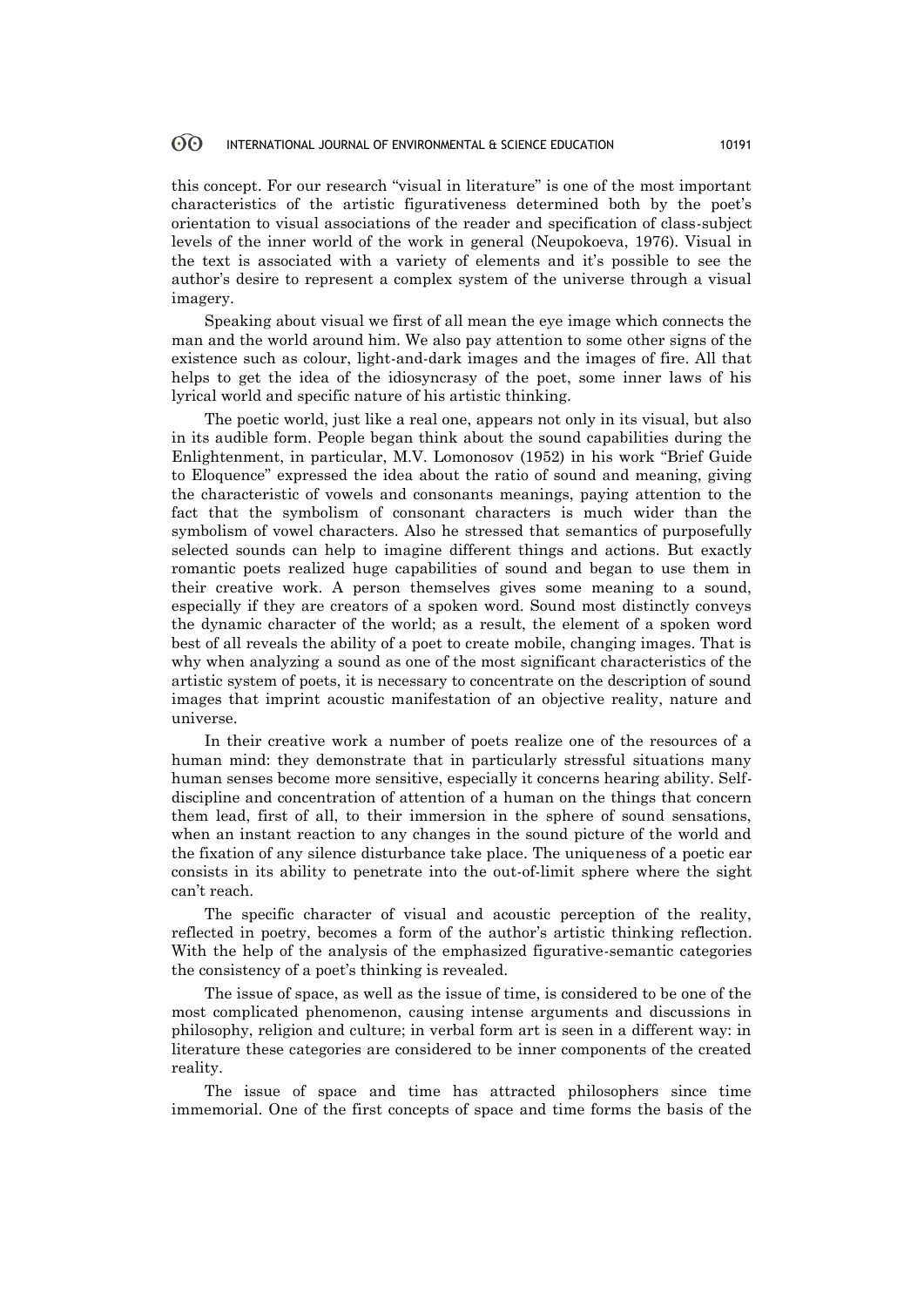#### 60 INTERNATIONAL JOURNAL OF ENVIRONMENTAL & SCIENCE EDUCATION 10191

this concept. For our research "visual in literature" is one of the most important characteristics of the artistic figurativeness determined both by the poet's orientation to visual associations of the reader and specification of class-subject levels of the inner world of the work in general (Neupokoeva, 1976). Visual in the text is associated with a variety of elements and it's possible to see the author's desire to represent a complex system of the universe through a visual imagery.

Speaking about visual we first of all mean the eye image which connects the man and the world around him. We also pay attention to some other signs of the existence such as colour, light-and-dark images and the images of fire. All that helps to get the idea of the idiosyncrasy of the poet, some inner laws of his lyrical world and specific nature of his artistic thinking.

The poetic world, just like a real one, appears not only in its visual, but also in its audible form. People began think about the sound capabilities during the Enlightenment, in particular, M.V. Lomonosov (1952) in his work "Brief Guide to Eloquence" expressed the idea about the ratio of sound and meaning, giving the characteristic of vowels and consonants meanings, paying attention to the fact that the symbolism of consonant characters is much wider than the symbolism of vowel characters. Also he stressed that semantics of purposefully selected sounds can help to imagine different things and actions. But exactly romantic poets realized huge capabilities of sound and began to use them in their creative work. A person themselves gives some meaning to a sound, especially if they are creators of a spoken word. Sound most distinctly conveys the dynamic character of the world; as a result, the element of a spoken word best of all reveals the ability of a poet to create mobile, changing images. That is why when analyzing a sound as one of the most significant characteristics of the artistic system of poets, it is necessary to concentrate on the description of sound images that imprint acoustic manifestation of an objective reality, nature and universe.

In their creative work a number of poets realize one of the resources of a human mind: they demonstrate that in particularly stressful situations many human senses become more sensitive, especially it concerns hearing ability. Selfdiscipline and concentration of attention of a human on the things that concern them lead, first of all, to their immersion in the sphere of sound sensations, when an instant reaction to any changes in the sound picture of the world and the fixation of any silence disturbance take place. The uniqueness of a poetic ear consists in its ability to penetrate into the out-of-limit sphere where the sight can't reach.

The specific character of visual and acoustic perception of the reality, reflected in poetry, becomes a form of the author's artistic thinking reflection. With the help of the analysis of the emphasized figurative-semantic categories the consistency of a poet's thinking is revealed.

The issue of space, as well as the issue of time, is considered to be one of the most complicated phenomenon, causing intense arguments and discussions in philosophy, religion and culture; in verbal form art is seen in a different way: in literature these categories are considered to be inner components of the created reality.

The issue of space and time has attracted philosophers since time immemorial. One of the first concepts of space and time forms the basis of the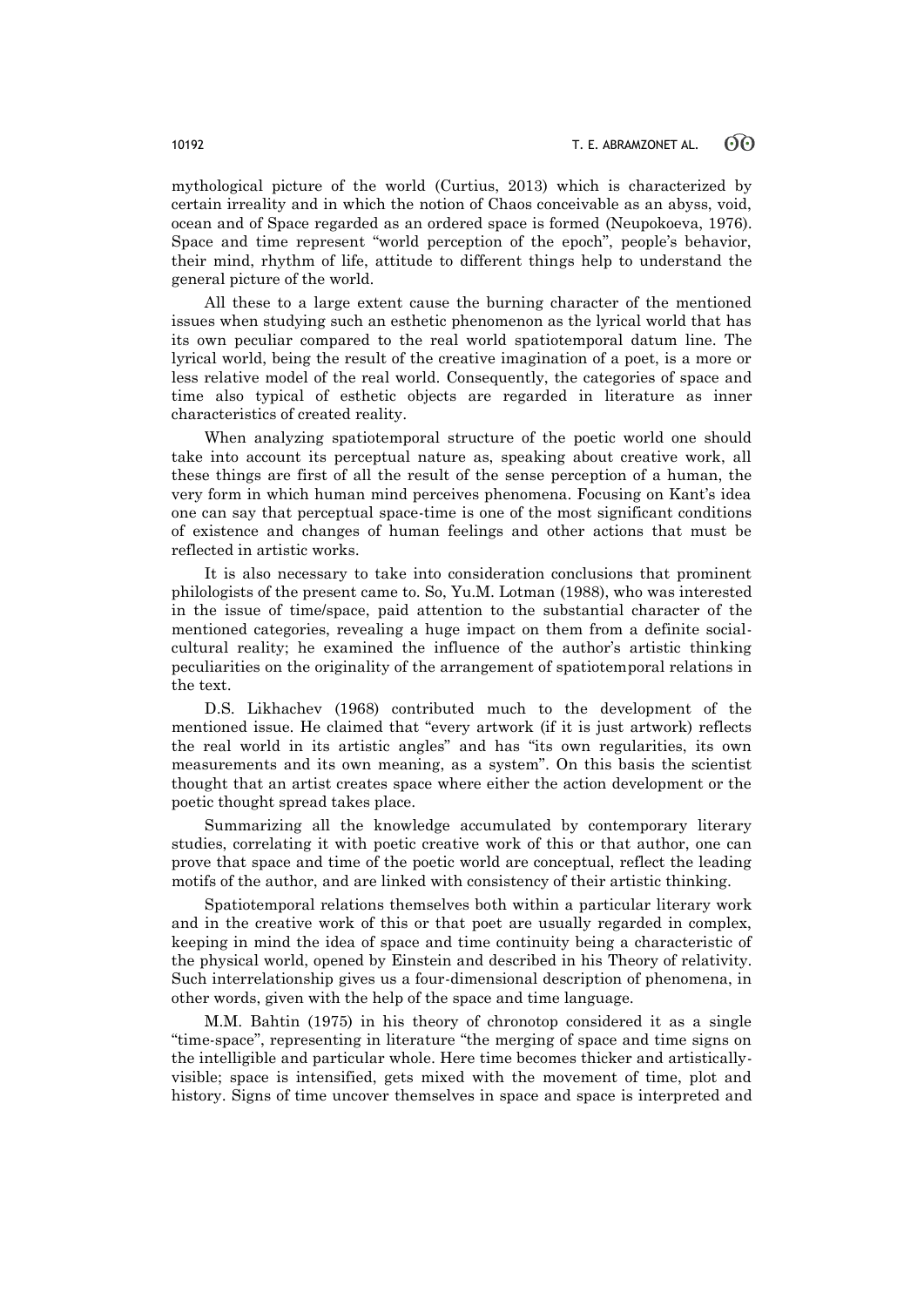mythological picture of the world (Curtius, 2013) which is characterized by certain irreality and in which the notion of Chaos conceivable as an abyss, void, ocean and of Space regarded as an ordered space is formed (Neupokoeva, 1976). Space and time represent "world perception of the epoch", people's behavior, their mind, rhythm of life, attitude to different things help to understand the general picture of the world.

All these to a large extent cause the burning character of the mentioned issues when studying such an esthetic phenomenon as the lyrical world that has its own peculiar compared to the real world spatiotemporal datum line. The lyrical world, being the result of the creative imagination of a poet, is a more or less relative model of the real world. Consequently, the categories of space and time also typical of esthetic objects are regarded in literature as inner characteristics of created reality.

When analyzing spatiotemporal structure of the poetic world one should take into account its perceptual nature as, speaking about creative work, all these things are first of all the result of the sense perception of a human, the very form in which human mind perceives phenomena. Focusing on Kant's idea one can say that perceptual space-time is one of the most significant conditions of existence and changes of human feelings and other actions that must be reflected in artistic works.

It is also necessary to take into consideration conclusions that prominent philologists of the present came to. So, Yu.M. Lotman (1988), who was interested in the issue of time/space, paid attention to the substantial character of the mentioned categories, revealing a huge impact on them from a definite socialcultural reality; he examined the influence of the author's artistic thinking peculiarities on the originality of the arrangement of spatiotemporal relations in the text.

D.S. Likhachev (1968) contributed much to the development of the mentioned issue. He claimed that "every artwork (if it is just artwork) reflects the real world in its artistic angles" and has "its own regularities, its own measurements and its own meaning, as a system". On this basis the scientist thought that an artist creates space where either the action development or the poetic thought spread takes place.

Summarizing all the knowledge accumulated by contemporary literary studies, correlating it with poetic creative work of this or that author, one can prove that space and time of the poetic world are conceptual, reflect the leading motifs of the author, and are linked with consistency of their artistic thinking.

Spatiotemporal relations themselves both within a particular literary work and in the creative work of this or that poet are usually regarded in complex, keeping in mind the idea of space and time continuity being a characteristic of the physical world, opened by Einstein and described in his Theory of relativity. Such interrelationship gives us a four-dimensional description of phenomena, in other words, given with the help of the space and time language.

M.M. Bahtin (1975) in his theory of chronotop considered it as a single "time-space", representing in literature "the merging of space and time signs on the intelligible and particular whole. Here time becomes thicker and artisticallyvisible; space is intensified, gets mixed with the movement of time, plot and history. Signs of time uncover themselves in space and space is interpreted and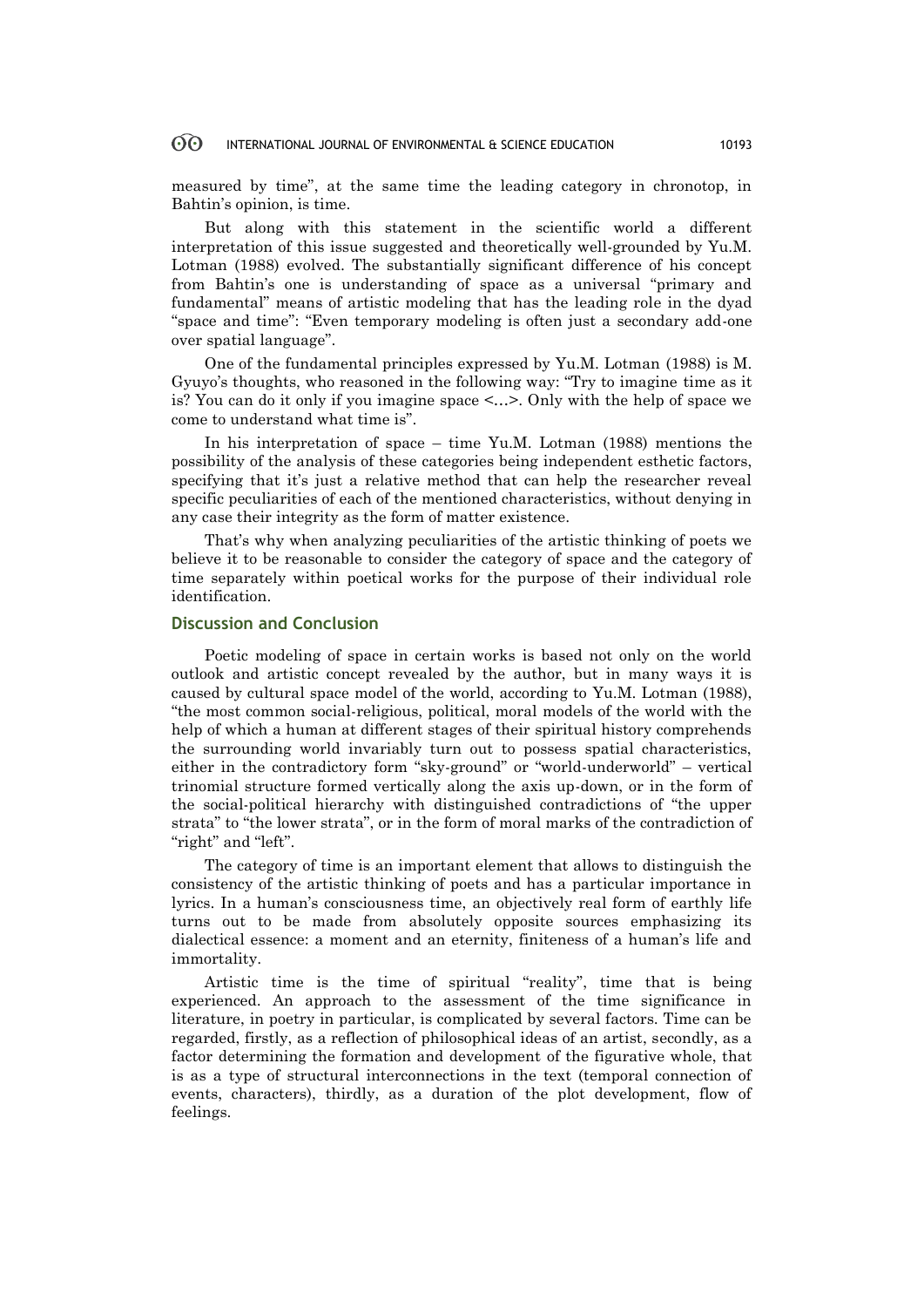#### **ගි** INTERNATIONAL JOURNAL OF ENVIRONMENTAL & SCIENCE EDUCATION 10193

measured by time", at the same time the leading category in chronotop, in Bahtin's opinion, is time.

But along with this statement in the scientific world a different interpretation of this issue suggested and theoretically well-grounded by Yu.M. Lotman (1988) evolved. The substantially significant difference of his concept from Bahtin's one is understanding of space as a universal "primary and fundamental" means of artistic modeling that has the leading role in the dyad "space and time": "Even temporary modeling is often just a secondary add-one over spatial language".

One of the fundamental principles expressed by Yu.M. Lotman (1988) is M. Gyuyo's thoughts, who reasoned in the following way: "Try to imagine time as it is? You can do it only if you imagine space <…>. Only with the help of space we come to understand what time is".

In his interpretation of space – time Yu.M. Lotman (1988) mentions the possibility of the analysis of these categories being independent esthetic factors, specifying that it's just a relative method that can help the researcher reveal specific peculiarities of each of the mentioned characteristics, without denying in any case their integrity as the form of matter existence.

That's why when analyzing peculiarities of the artistic thinking of poets we believe it to be reasonable to consider the category of space and the category of time separately within poetical works for the purpose of their individual role identification.

# **Discussion and Conclusion**

Poetic modeling of space in certain works is based not only on the world outlook and artistic concept revealed by the author, but in many ways it is caused by cultural space model of the world, according to Yu.M. Lotman (1988), "the most common social-religious, political, moral models of the world with the help of which a human at different stages of their spiritual history comprehends the surrounding world invariably turn out to possess spatial characteristics, either in the contradictory form "sky-ground" or "world-underworld" – vertical trinomial structure formed vertically along the axis up-down, or in the form of the social-political hierarchy with distinguished contradictions of "the upper strata" to "the lower strata", or in the form of moral marks of the contradiction of "right" and "left".

The category of time is an important element that allows to distinguish the consistency of the artistic thinking of poets and has a particular importance in lyrics. In a human's consciousness time, an objectively real form of earthly life turns out to be made from absolutely opposite sources emphasizing its dialectical essence: a moment and an eternity, finiteness of a human's life and immortality.

Artistic time is the time of spiritual "reality", time that is being experienced. An approach to the assessment of the time significance in literature, in poetry in particular, is complicated by several factors. Time can be regarded, firstly, as a reflection of philosophical ideas of an artist, secondly, as a factor determining the formation and development of the figurative whole, that is as a type of structural interconnections in the text (temporal connection of events, characters), thirdly, as a duration of the plot development, flow of feelings.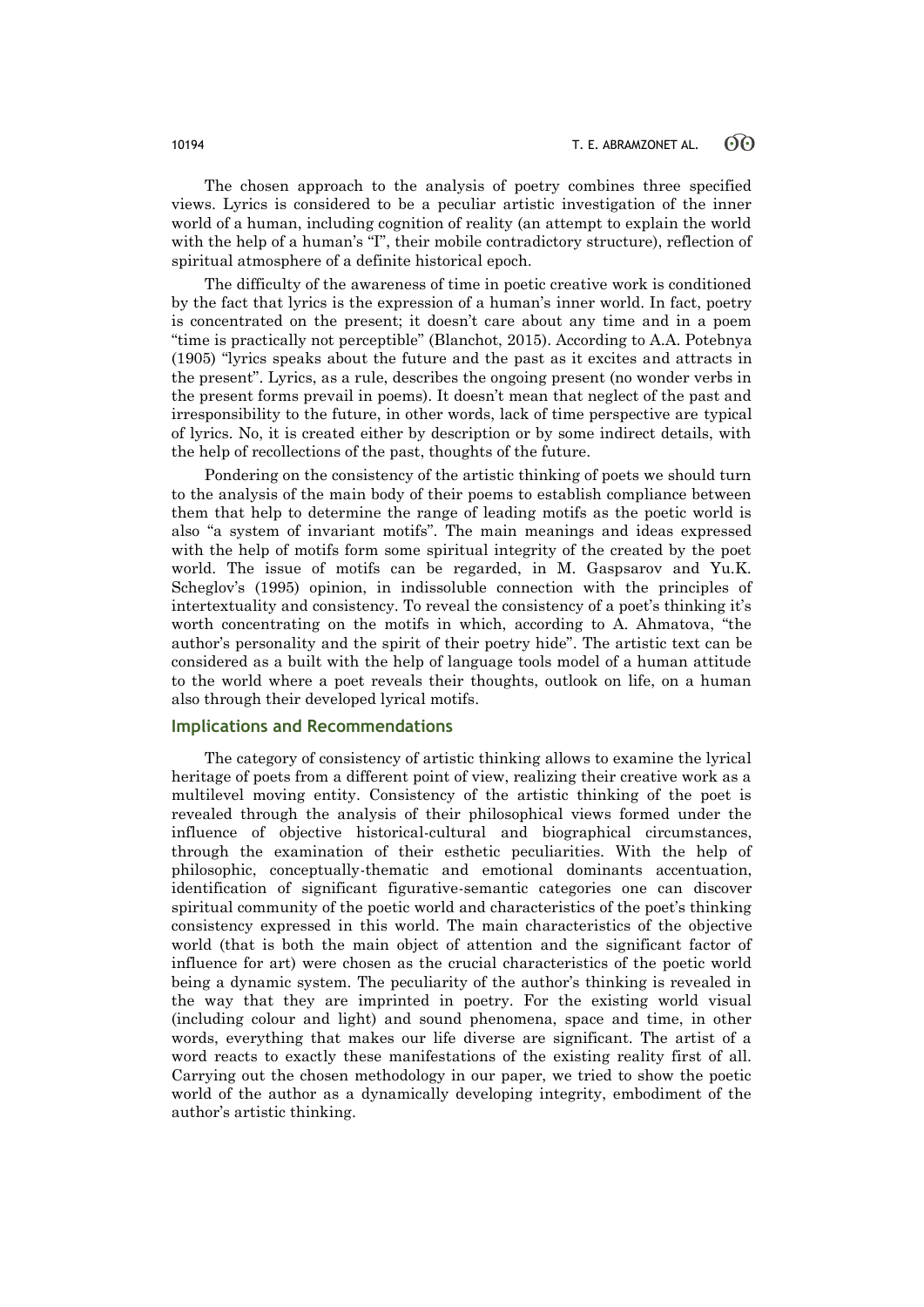The chosen approach to the analysis of poetry combines three specified views. Lyrics is considered to be a peculiar artistic investigation of the inner world of a human, including cognition of reality (an attempt to explain the world with the help of a human's "I", their mobile contradictory structure), reflection of spiritual atmosphere of a definite historical epoch.

The difficulty of the awareness of time in poetic creative work is conditioned by the fact that lyrics is the expression of a human's inner world. In fact, poetry is concentrated on the present; it doesn't care about any time and in a poem "time is practically not perceptible" (Blanchot, 2015). According to A.A. Potebnya (1905) "lyrics speaks about the future and the past as it excites and attracts in the present". Lyrics, as a rule, describes the ongoing present (no wonder verbs in the present forms prevail in poems). It doesn't mean that neglect of the past and irresponsibility to the future, in other words, lack of time perspective are typical of lyrics. No, it is created either by description or by some indirect details, with the help of recollections of the past, thoughts of the future.

Pondering on the consistency of the artistic thinking of poets we should turn to the analysis of the main body of their poems to establish compliance between them that help to determine the range of leading motifs as the poetic world is also "a system of invariant motifs". The main meanings and ideas expressed with the help of motifs form some spiritual integrity of the created by the poet world. The issue of motifs can be regarded, in M. Gaspsarov and Yu.K. Scheglov's (1995) opinion, in indissoluble connection with the principles of intertextuality and consistency. To reveal the consistency of a poet's thinking it's worth concentrating on the motifs in which, according to A. Ahmatova, "the author's personality and the spirit of their poetry hide". The artistic text can be considered as a built with the help of language tools model of a human attitude to the world where a poet reveals their thoughts, outlook on life, on a human also through their developed lyrical motifs.

### **Implications and Recommendations**

The category of consistency of artistic thinking allows to examine the lyrical heritage of poets from a different point of view, realizing their creative work as a multilevel moving entity. Consistency of the artistic thinking of the poet is revealed through the analysis of their philosophical views formed under the influence of objective historical-cultural and biographical circumstances, through the examination of their esthetic peculiarities. With the help of philosophic, conceptually-thematic and emotional dominants accentuation, identification of significant figurative-semantic categories one can discover spiritual community of the poetic world and characteristics of the poet's thinking consistency expressed in this world. The main characteristics of the objective world (that is both the main object of attention and the significant factor of influence for art) were chosen as the crucial characteristics of the poetic world being a dynamic system. The peculiarity of the author's thinking is revealed in the way that they are imprinted in poetry. For the existing world visual (including colour and light) and sound phenomena, space and time, in other words, everything that makes our life diverse are significant. The artist of a word reacts to exactly these manifestations of the existing reality first of all. Carrying out the chosen methodology in our paper, we tried to show the poetic world of the author as a dynamically developing integrity, embodiment of the author's artistic thinking.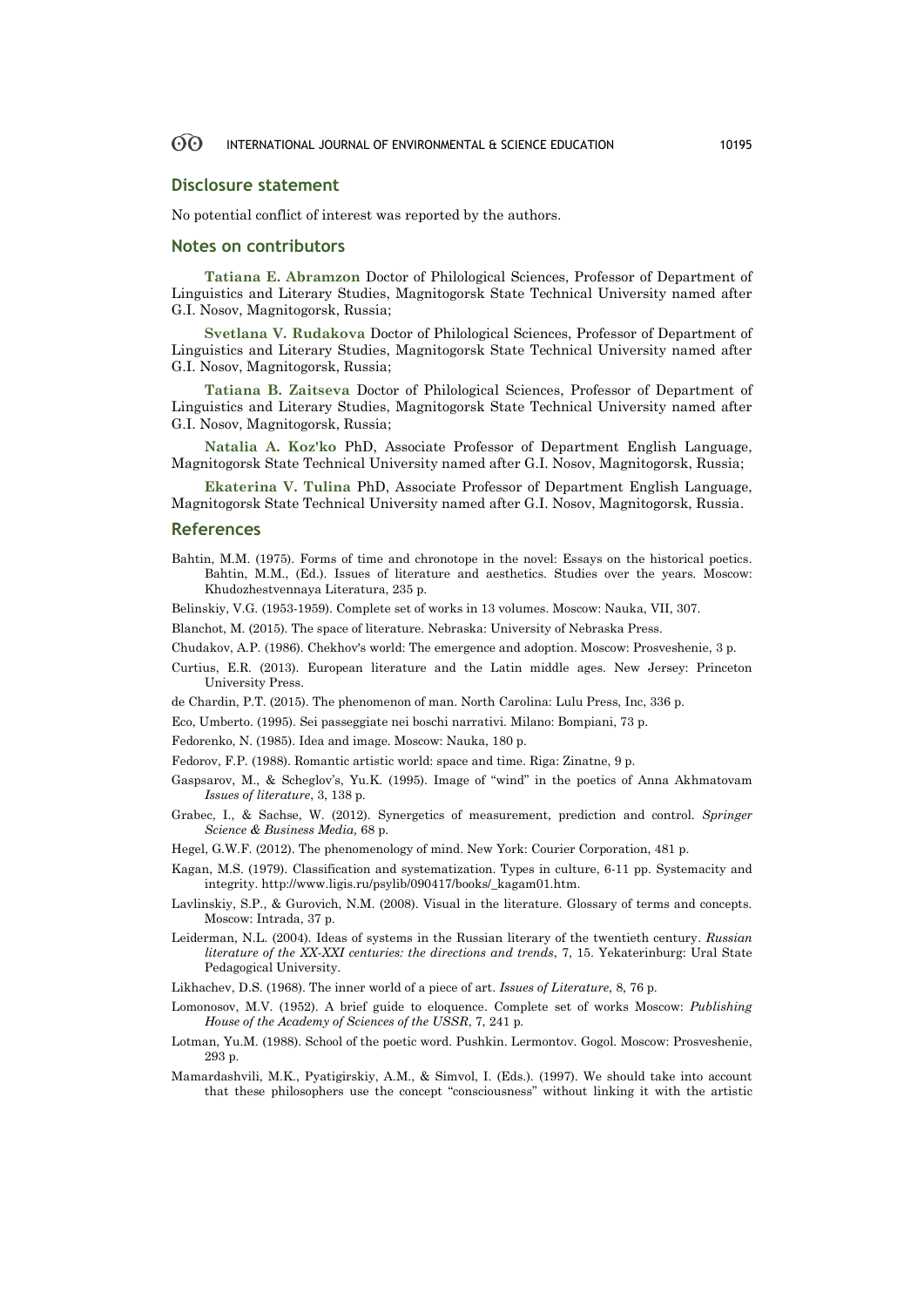#### 60 INTERNATIONAL JOURNAL OF ENVIRONMENTAL & SCIENCE EDUCATION 10195

### **Disclosure statement**

No potential conflict of interest was reported by the authors.

### **Notes on contributors**

**Tatiana E. Abramzon** Doctor of Philological Sciences, Professor of Department of Linguistics and Literary Studies, Magnitogorsk State Technical University named after G.I. Nosov, Magnitogorsk, Russia;

**Svetlana V. Rudakova** Doctor of Philological Sciences, Professor of Department of Linguistics and Literary Studies, Magnitogorsk State Technical University named after G.I. Nosov, Magnitogorsk, Russia;

**Tatiana B. Zaitseva** Doctor of Philological Sciences, Professor of Department of Linguistics and Literary Studies, Magnitogorsk State Technical University named after G.I. Nosov, Magnitogorsk, Russia;

**Natalia A. Koz'ko** PhD, Associate Professor of Department English Language, Magnitogorsk State Technical University named after G.I. Nosov, Magnitogorsk, Russia;

**Ekaterina V. Tulina** PhD, Associate Professor of Department English Language, Magnitogorsk State Technical University named after G.I. Nosov, Magnitogorsk, Russia.

### **References**

Bahtin, M.M. (1975). Forms of time and chronotope in the novel: Essays on the historical poetics. Bahtin, M.M., (Ed.). Issues of literature and aesthetics. Studies over the years. Moscow: Khudozhestvennaya Literatura, 235 p.

Belinskiy, V.G. (1953-1959). Complete set of works in 13 volumes. Moscow: Nauka, VII, 307.

Blanchot, M. (2015). The space of literature. Nebraska: University of Nebraska Press.

Chudakov, A.P. (1986). Chekhov's world: The emergence and adoption. Moscow: Prosveshenie, 3 p.

- Curtius, E.R. (2013). European literature and the Latin middle ages. New Jersey: Princeton University Press.
- de Chardin, P.T. (2015). The phenomenon of man. North Carolina: Lulu Press, Inc, 336 p.
- Eco, Umberto. (1995). Sei passeggiate nei boschi narrativi. Milano: Bompiani, 73 p.

Fedorenko, N. (1985). Idea and image. Moscow: Nauka, 180 p.

- Fedorov, F.P. (1988). Romantic artistic world: space and time. Riga: Zinatne, 9 p.
- Gaspsarov, M., & Scheglov's, Yu.K. (1995). Image of "wind" in the poetics of Anna Akhmatovam *Issues of literature*, 3, 138 p.
- Grabec, I., & Sachse, W. (2012). Synergetics of measurement, prediction and control. *Springer Science & Business Media,* 68 p.
- Hegel, G.W.F. (2012). The phenomenology of mind. New York: Courier Corporation, 481 p.
- Kagan, M.S. (1979). Classification and systematization. Types in culture, 6-11 pp. Systemacity and integrity. http://www.ligis.ru/psylib/090417/books/\_kagam01.htm.
- Lavlinskiy, S.P., & Gurovich, N.M. (2008). Visual in the literature. Glossary of terms and concepts. Moscow: Intrada, 37 p.
- Leiderman, N.L. (2004). Ideas of systems in the Russian literary of the twentieth century. *Russian literature of the XX-XXI centuries: the directions and trends*, 7, 15. Yekaterinburg: Ural State Pedagogical University.
- Likhachev, D.S. (1968). The inner world of a piece of art. *Issues of Literature*, 8, 76 p.
- Lomonosov, M.V. (1952). A brief guide to eloquence. Complete set of works Moscow: *Publishing House of the Academy of Sciences of the USSR*, 7, 241 p.
- Lotman, Yu.M. (1988). School of the poetic word. Pushkin. Lermontov. Gogol. Moscow: Prosveshenie, 293 p.
- Mamardashvili, M.K., Pyatigirskiy, A.M., & Simvol, I. (Eds.). (1997). We should take into account that these philosophers use the concept "consciousness" without linking it with the artistic